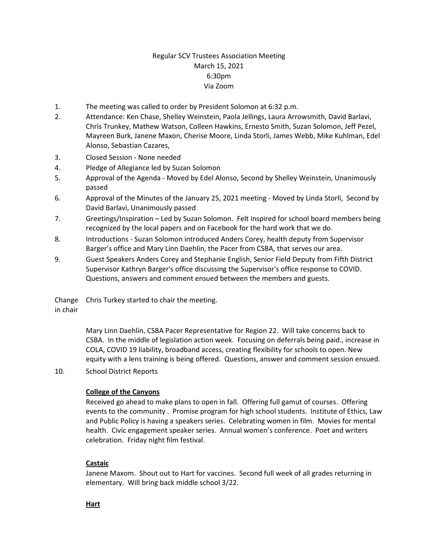# Regular SCV Trustees Association Meeting March 15, 2021 6:30pm Via Zoom

- 1. The meeting was called to order by President Solomon at 6:32 p.m.
- 2. Attendance: Ken Chase, Shelley Weinstein, Paola Jellings, Laura Arrowsmith, David Barlavi, Chris Trunkey, Mathew Watson, Colleen Hawkins, Ernesto Smith, Suzan Solomon, Jeff Pezel, Mayreen Burk, Janene Maxon, Cherise Moore, Linda Storli, James Webb, Mike Kuhlman, Edel Alonso, Sebastian Cazares,
- 3. Closed Session None needed
- 4. Pledge of Allegiance led by Suzan Solomon
- 5. Approval of the Agenda Moved by Edel Alonso, Second by Shelley Weinstein, Unanimously passed
- 6. Approval of the Minutes of the January 25, 2021 meeting Moved by Linda Storli, Second by David Barlavi, Unanimously passed
- 7. Greetings/Inspiration Led by Suzan Solomon. Felt inspired for school board members being recognized by the local papers and on Facebook for the hard work that we do.
- 8. Introductions Suzan Solomon introduced Anders Corey, health deputy from Supervisor Barger's office and Mary Linn Daehlin, the Pacer from CSBA, that serves our area.
- 9. Guest Speakers Anders Corey and Stephanie English, Senior Field Deputy from Fifth District Supervisor Kathryn Barger's office discussing the Supervisor's office response to COVID. Questions, answers and comment ensued between the members and guests.

Change in chair Chris Turkey started to chair the meeting.

> Mary Linn Daehlin, CSBA Pacer Representative for Region 22. Will take concerns back to CSBA. In the middle of legislation action week. Focusing on deferrals being paid., increase in COLA, COVID 19 liability, broadband access, creating flexibility for schools to open. New equity with a lens training is being offered. Questions, answer and comment session ensued.

10. School District Reports

### **College of the Canyons**

Received go ahead to make plans to open in fall. Offering full gamut of courses. Offering events to the community . Promise program for high school students. Institute of Ethics, Law and Public Policy is having a speakers series. Celebrating women in film. Movies for mental health. Civic engagement speaker series. Annual women's conference. Poet and writers celebration. Friday night film festival.

### **Castaic**

Janene Maxom. Shout out to Hart for vaccines. Second full week of all grades returning in elementary. Will bring back middle school 3/22.